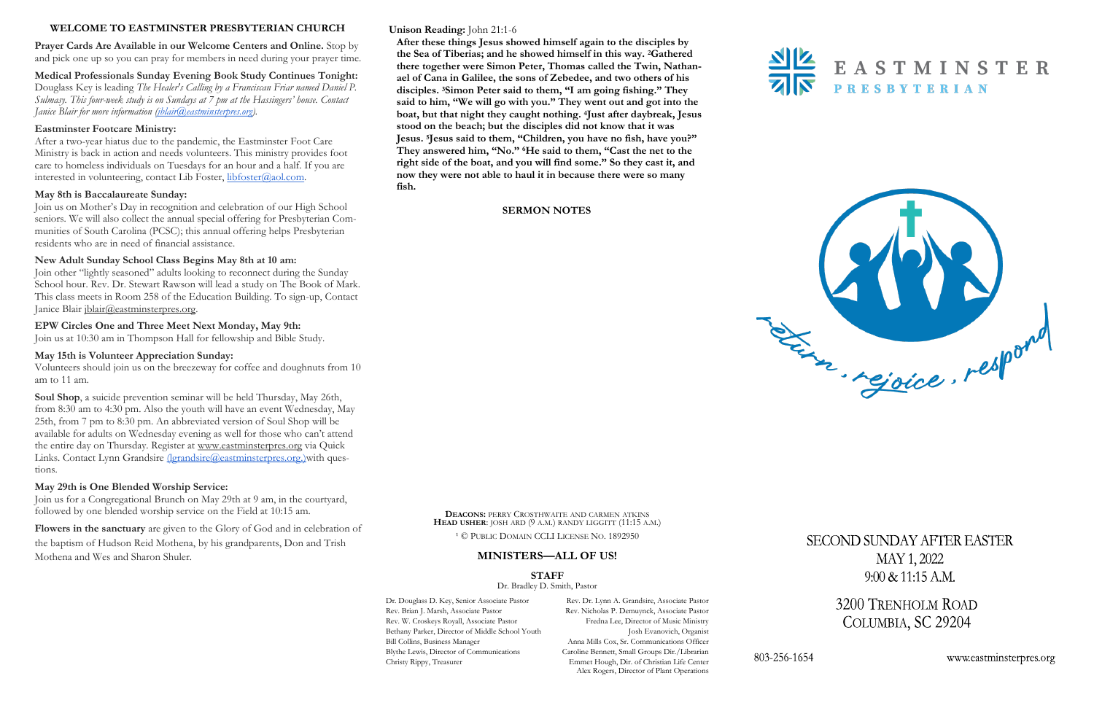# **Unison Reading:** John 21:1-6

**After these things Jesus showed himself again to the disciples by the Sea of Tiberias; and he showed himself in this way. <sup>2</sup>Gathered there together were Simon Peter, Thomas called the Twin, Nathanael of Cana in Galilee, the sons of Zebedee, and two others of his disciples. <sup>3</sup>Simon Peter said to them, "I am going fishing." They said to him, "We will go with you." They went out and got into the boat, but that night they caught nothing. <sup>4</sup>Just after daybreak, Jesus stood on the beach; but the disciples did not know that it was Jesus. <sup>5</sup>Jesus said to them, "Children, you have no fish, have you?" They answered him, "No." <sup>6</sup>He said to them, "Cast the net to the right side of the boat, and you will find some." So they cast it, and now they were not able to haul it in because there were so many fish.** 

**Medical Professionals Sunday Evening Book Study Continues Tonight:** Douglass Key is leading *The Healer's Calling by a Franciscan Friar named Daniel P. Sulmasy. This four-week study is on Sundays at 7 pm at the Hassingers' house. Contact Janice Blair for more information (<i>jblair@eastminsterpres.org*).

After a two-year hiatus due to the pandemic, the Eastminster Foot Care Ministry is back in action and needs volunteers. This ministry provides foot care to homeless individuals on Tuesdays for an hour and a half. If you are interested in volunteering, contact Lib Foster, [libfoster@aol.com.](mailto:libfoster@aol.com)

#### **SERMON NOTES**



# **WELCOME TO EASTMINSTER PRESBYTERIAN CHURCH**

**Prayer Cards Are Available in our Welcome Centers and Online.** Stop by and pick one up so you can pray for members in need during your prayer time.

Join other "lightly seasoned" adults looking to reconnect during the Sunday School hour. Rev. Dr. Stewart Rawson will lead a study on The Book of Mark. This class meets in Room 258 of the Education Building. To sign-up, Contact Janice Blair [jblair@eastminsterpres.org.](mailto:jblair@eastminsterpres.org)

## **Eastminster Footcare Ministry:**

## **May 8th is Baccalaureate Sunday:**

Join us on Mother's Day in recognition and celebration of our High School seniors. We will also collect the annual special offering for Presbyterian Communities of South Carolina (PCSC); this annual offering helps Presbyterian residents who are in need of financial assistance.

# **New Adult Sunday School Class Begins May 8th at 10 am:**

# **EPW Circles One and Three Meet Next Monday, May 9th:**

Join us at 10:30 am in Thompson Hall for fellowship and Bible Study.

# **May 15th is Volunteer Appreciation Sunday:**

Volunteers should join us on the breezeway for coffee and doughnuts from 10 am to 11 am.

**Soul Shop**, a suicide prevention seminar will be held Thursday, May 26th, from 8:30 am to 4:30 pm. Also the youth will have an event Wednesday, May 25th, from 7 pm to 8:30 pm. An abbreviated version of Soul Shop will be available for adults on Wednesday evening as well for those who can't attend the entire day on Thursday. Register at [www.eastminsterpres.org](http://www.eastminsterpres.org) via Quick Links. Contact Lynn Grandsire (lgrandsire@eastminsterpres.org.) with questions.

## **May 29th is One Blended Worship Service:**

Join us for a Congregational Brunch on May 29th at 9 am, in the courtyard, followed by one blended worship service on the Field at 10:15 am.

**Flowers in the sanctuary** are given to the Glory of God and in celebration of the baptism of Hudson Reid Mothena, by his grandparents, Don and Trish Mothena and Wes and Sharon Shuler.

**DEACONS:** PERRY CROSTHWAITE AND CARMEN ATKINS **HEAD USHER**: JOSH ARD (9 A.M.) RANDY LIGGITT (11:15 A.M.)

<sup>1</sup> © PUBLIC DOMAIN CCLI LICENSE NO. 1892950

# **MINISTERS—ALL OF US!**

**STAFF**

Dr. Bradley D. Smith, Pastor

Dr. Douglass D. Key, Senior Associate Pastor Rev. Dr. Lynn A. Grandsire, Associate Pastor Alex Rogers, Director of Plant Operations



**SECOND SUNDAY AFTER EASTER** MAY 1, 2022  $9:00 \& 11:15 A.M.$ 

> 3200 TRENHOLM ROAD COLUMBIA, SC 29204

> > www.eastminsterpres.org

Rev. Brian J. Marsh, Associate Pastor Rev. Nicholas P. Demuynck, Associate Pastor Rev. W. Croskeys Royall, Associate Pastor Fredna Lee, Director of Music Ministry Bethany Parker, Director of Middle School Youth Josh Evanovich, Organist Bill Collins, Business Manager Anna Mills Cox, Sr. Communications Officer Blythe Lewis, Director of Communications Caroline Bennett, Small Groups Dir./Librarian Christy Rippy, Treasurer Emmet Hough, Dir. of Christian Life Center